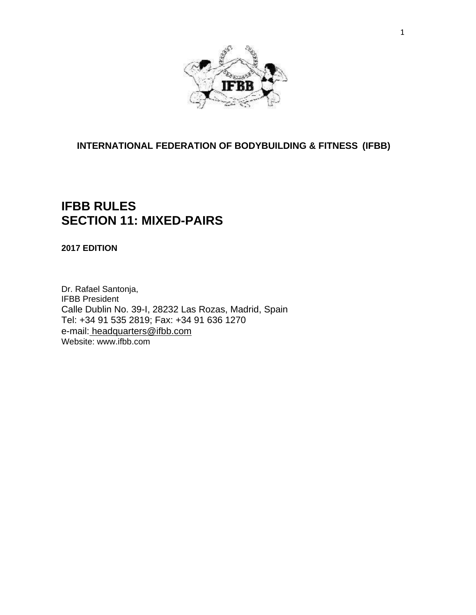

## **INTERNATIONAL FEDERATION OF BODYBUILDING & FITNESS (IFBB)**

## **IFBB RULES SECTION 11: MIXED-PAIRS**

**2017 EDITION**

Dr. Rafael Santonja, IFBB President Calle Dublin No. 39-I, 28232 Las Rozas, Madrid, Spain Tel: +34 91 535 2819; Fax: +34 91 636 1270 e-mail: [headquarters@ifbb.com](mailto:%20headquarters@ifbb.com) Website: [www.ifbb.com](http://www.ifbb.com/)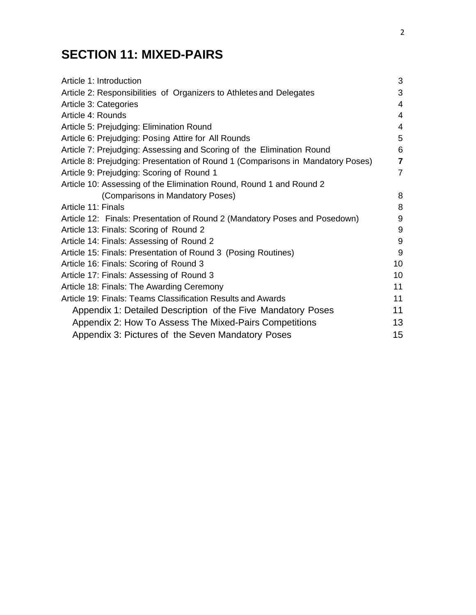# **SECTION 11: MIXED-PAIRS**

| Article 1: Introduction                                                         | 3              |
|---------------------------------------------------------------------------------|----------------|
| Article 2: Responsibilities of Organizers to Athletes and Delegates             | 3              |
| Article 3: Categories                                                           | $\overline{4}$ |
| Article 4: Rounds                                                               | $\overline{4}$ |
| Article 5: Prejudging: Elimination Round                                        | 4              |
| Article 6: Prejudging: Posing Attire for All Rounds                             | 5              |
| Article 7: Prejudging: Assessing and Scoring of the Elimination Round           | 6              |
| Article 8: Prejudging: Presentation of Round 1 (Comparisons in Mandatory Poses) | $\overline{7}$ |
| Article 9: Prejudging: Scoring of Round 1                                       | $\overline{7}$ |
| Article 10: Assessing of the Elimination Round, Round 1 and Round 2             |                |
| (Comparisons in Mandatory Poses)                                                | 8              |
| Article 11: Finals                                                              | 8              |
| Article 12: Finals: Presentation of Round 2 (Mandatory Poses and Posedown)      | 9              |
| Article 13: Finals: Scoring of Round 2                                          | $9\,$          |
| Article 14: Finals: Assessing of Round 2                                        | 9              |
| Article 15: Finals: Presentation of Round 3 (Posing Routines)                   | 9              |
| Article 16: Finals: Scoring of Round 3                                          | 10             |
| Article 17: Finals: Assessing of Round 3                                        | 10             |
| Article 18: Finals: The Awarding Ceremony                                       | 11             |
| Article 19: Finals: Teams Classification Results and Awards                     | 11             |
| Appendix 1: Detailed Description of the Five Mandatory Poses                    | 11             |
| Appendix 2: How To Assess The Mixed-Pairs Competitions                          | 13             |
| Appendix 3: Pictures of the Seven Mandatory Poses                               | 15             |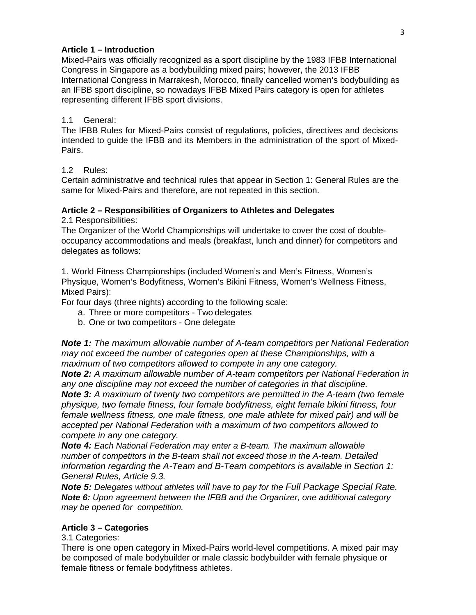## **Article 1 – Introduction**

Mixed-Pairs was officially recognized as a sport discipline by the 1983 IFBB International Congress in Singapore as a bodybuilding mixed pairs; however, the 2013 IFBB International Congress in Marrakesh, Morocco, finally cancelled women's bodybuilding as an IFBB sport discipline, so nowadays IFBB Mixed Pairs category is open for athletes representing different IFBB sport divisions.

## 1.1 General:

The IFBB Rules for Mixed-Pairs consist of regulations, policies, directives and decisions intended to guide the IFBB and its Members in the administration of the sport of Mixed-Pairs.

1.2 Rules:

Certain administrative and technical rules that appear in Section 1: General Rules are the same for Mixed-Pairs and therefore, are not repeated in this section.

## **Article 2 – Responsibilities of Organizers to Athletes and Delegates**

2.1 Responsibilities:

The Organizer of the World Championships will undertake to cover the cost of doubleoccupancy accommodations and meals (breakfast, lunch and dinner) for competitors and delegates as follows:

1. World Fitness Championships (included Women's and Men's Fitness, Women's Physique, Women's Bodyfitness, Women's Bikini Fitness, Women's Wellness Fitness, Mixed Pairs):

For four days (three nights) according to the following scale:

- a. Three or more competitors Two delegates
- b. One or two competitors One delegate

*Note 1: The maximum allowable number of A-team competitors per National Federation may not exceed the number of categories open at these Championships, with a maximum of two competitors allowed to compete in any one category.*

*Note 2: A maximum allowable number of A-team competitors per National Federation in any one discipline may not exceed the number of categories in that discipline. Note 3: A maximum of twenty two competitors are permitted in the A-team (two female physique, two female fitness, four female bodyfitness, eight female bikini fitness, four female wellness fitness, one male fitness, one male athlete for mixed pair) and will be accepted per National Federation with a maximum of two competitors allowed to compete in any one category.*

*Note 4: Each National Federation may enter a B-team. The maximum allowable number of competitors in the B-team shall not exceed those in the A-team. Detailed information regarding the A-Team and B-Team competitors is available in Section 1: General Rules, Article 9.3.*

*Note 5: Delegates without athletes will have to pay for the Full Package Special Rate. Note 6: Upon agreement between the IFBB and the Organizer, one additional category may be opened for competition.*

## **Article 3 – Categories**

3.1 Categories:

There is one open category in Mixed-Pairs world-level competitions. A mixed pair may be composed of male bodybuilder or male classic bodybuilder with female physique or female fitness or female bodyfitness athletes.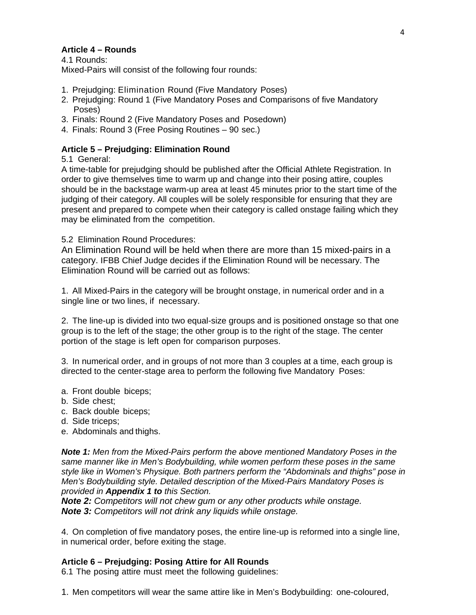## **Article 4 – Rounds**

4.1 Rounds: Mixed-Pairs will consist of the following four rounds:

- 1. Prejudging: Elimination Round (Five Mandatory Poses)
- 2. Prejudging: Round 1 (Five Mandatory Poses and Comparisons of five Mandatory Poses)
- 3. Finals: Round 2 (Five Mandatory Poses and Posedown)
- 4. Finals: Round 3 (Free Posing Routines 90 sec.)

## **Article 5 – Prejudging: Elimination Round**

5.1 General:

A time-table for prejudging should be published after the Official Athlete Registration. In order to give themselves time to warm up and change into their posing attire, couples should be in the backstage warm-up area at least 45 minutes prior to the start time of the judging of their category. All couples will be solely responsible for ensuring that they are present and prepared to compete when their category is called onstage failing which they may be eliminated from the competition.

5.2 Elimination Round Procedures:

An Elimination Round will be held when there are more than 15 mixed-pairs in a category. IFBB Chief Judge decides if the Elimination Round will be necessary. The Elimination Round will be carried out as follows:

1. All Mixed-Pairs in the category will be brought onstage, in numerical order and in a single line or two lines, if necessary.

2. The line-up is divided into two equal-size groups and is positioned onstage so that one group is to the left of the stage; the other group is to the right of the stage. The center portion of the stage is left open for comparison purposes.

3. In numerical order, and in groups of not more than 3 couples at a time, each group is directed to the center-stage area to perform the following five Mandatory Poses:

- a. Front double biceps;
- b. Side chest;
- c. Back double biceps;
- d. Side triceps;
- e. Abdominals and thighs.

*Note 1: Men from the Mixed-Pairs perform the above mentioned Mandatory Poses in the same manner like in Men's Bodybuilding, while women perform these poses in the same style like in Women's Physique. Both partners perform the "Abdominals and thighs" pose in Men's Bodybuilding style. Detailed description of the Mixed-Pairs Mandatory Poses is provided in Appendix 1 to this Section.*

*Note 2: Competitors will not chew gum or any other products while onstage. Note 3: Competitors will not drink any liquids while onstage.*

4. On completion of five mandatory poses, the entire line-up is reformed into a single line, in numerical order, before exiting the stage.

## **Article 6 – Prejudging: Posing Attire for All Rounds**

6.1 The posing attire must meet the following guidelines:

1. Men competitors will wear the same attire like in Men's Bodybuilding: one-coloured,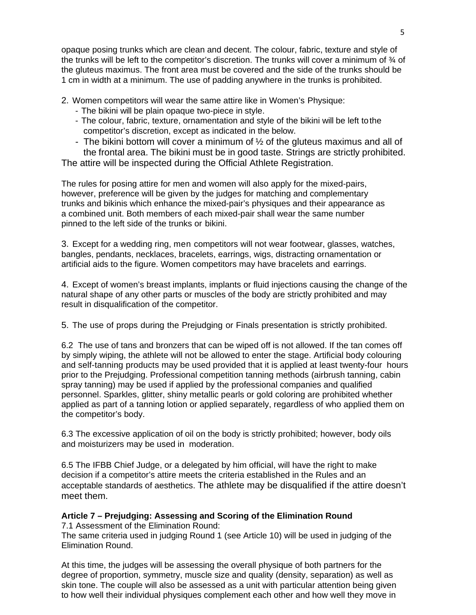opaque posing trunks which are clean and decent. The colour, fabric, texture and style of the trunks will be left to the competitor's discretion. The trunks will cover a minimum of ¾ of the gluteus maximus. The front area must be covered and the side of the trunks should be 1 cm in width at a minimum. The use of padding anywhere in the trunks is prohibited.

2. Women competitors will wear the same attire like in Women's Physique:

- The bikini will be plain opaque two-piece in style.
- The colour, fabric, texture, ornamentation and style of the bikini will be left tothe competitor's discretion, except as indicated in the below.
- The bikini bottom will cover a minimum of  $\frac{1}{2}$  of the gluteus maximus and all of the frontal area. The bikini must be in good taste. Strings are strictly prohibited.

The attire will be inspected during the Official Athlete Registration.

The rules for posing attire for men and women will also apply for the mixed-pairs, however, preference will be given by the judges for matching and complementary trunks and bikinis which enhance the mixed-pair's physiques and their appearance as a combined unit. Both members of each mixed-pair shall wear the same number pinned to the left side of the trunks or bikini.

3. Except for a wedding ring, men competitors will not wear footwear, glasses, watches, bangles, pendants, necklaces, bracelets, earrings, wigs, distracting ornamentation or artificial aids to the figure. Women competitors may have bracelets and earrings.

4. Except of women's breast implants, implants or fluid injections causing the change of the natural shape of any other parts or muscles of the body are strictly prohibited and may result in disqualification of the competitor.

5. The use of props during the Prejudging or Finals presentation is strictly prohibited.

6.2 The use of tans and bronzers that can be wiped off is not allowed. If the tan comes off by simply wiping, the athlete will not be allowed to enter the stage. Artificial body colouring and self-tanning products may be used provided that it is applied at least twenty-four hours prior to the Prejudging. Professional competition tanning methods (airbrush tanning, cabin spray tanning) may be used if applied by the professional companies and qualified personnel. Sparkles, glitter, shiny metallic pearls or gold coloring are prohibited whether applied as part of a tanning lotion or applied separately, regardless of who applied them on the competitor's body.

6.3 The excessive application of oil on the body is strictly prohibited; however, body oils and moisturizers may be used in moderation.

6.5 The IFBB Chief Judge, or a delegated by him official, will have the right to make decision if a competitor's attire meets the criteria established in the Rules and an acceptable standards of aesthetics. The athlete may be disqualified if the attire doesn't meet them.

## **Article 7 – Prejudging: Assessing and Scoring of the Elimination Round**

7.1 Assessment of the Elimination Round: The same criteria used in judging Round 1 (see Article 10) will be used in judging of the Elimination Round.

At this time, the judges will be assessing the overall physique of both partners for the degree of proportion, symmetry, muscle size and quality (density, separation) as well as skin tone. The couple will also be assessed as a unit with particular attention being given to how well their individual physiques complement each other and how well they move in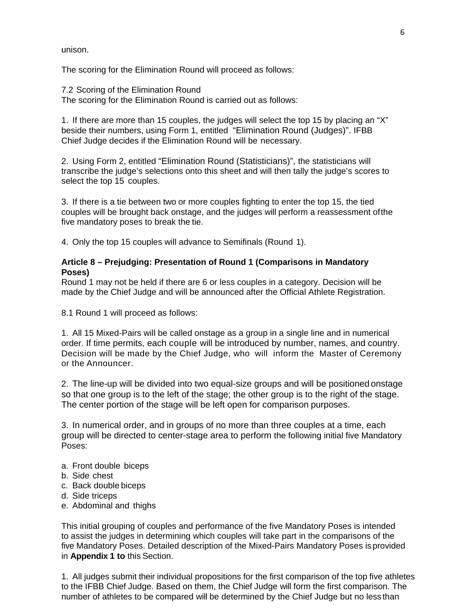unison.

The scoring for the Elimination Round will proceed as follows:

7.2 Scoring of the Elimination Round The scoring for the Elimination Round is carried out as follows:

1. If there are more than 15 couples, the judges will select the top 15 by placing an "X" beside their numbers, using Form 1, entitled "Elimination Round (Judges)". IFBB Chief Judge decides if the Elimination Round will be necessary.

2. Using Form 2, entitled "Elimination Round (Statisticians)", the statisticians will transcribe the judge's selections onto this sheet and will then tally the judge's scores to select the top 15 couples.

3. If there is a tie between two or more couples fighting to enter the top 15, the tied couples will be brought back onstage, and the judges will perform a reassessment ofthe five mandatory poses to break the tie.

4. Only the top 15 couples will advance to Semifinals (Round 1).

## **Article 8 – Prejudging: Presentation of Round 1 (Comparisons in Mandatory Poses)**

Round 1 may not be held if there are 6 or less couples in a category. Decision will be made by the Chief Judge and will be announced after the Official Athlete Registration.

8.1 Round 1 will proceed as follows:

1. All 15 Mixed-Pairs will be called onstage as a group in a single line and in numerical order. If time permits, each couple will be introduced by number, names, and country. Decision will be made by the Chief Judge, who will inform the Master of Ceremony or the Announcer.

2. The line-up will be divided into two equal-size groups and will be positioned onstage so that one group is to the left of the stage; the other group is to the right of the stage. The center portion of the stage will be left open for comparison purposes.

3. In numerical order, and in groups of no more than three couples at a time, each group will be directed to center-stage area to perform the following initial five Mandatory Poses:

- a. Front double biceps
- b. Side chest
- c. Back double biceps
- d. Side triceps
- e. Abdominal and thighs

This initial grouping of couples and performance of the five Mandatory Poses is intended to assist the judges in determining which couples will take part in the comparisons of the five Mandatory Poses. Detailed description of the Mixed-Pairs Mandatory Poses isprovided in **Appendix 1 to** this Section.

1. All judges submit their individual propositions for the first comparison of the top five athletes to the IFBB Chief Judge. Based on them, the Chief Judge will form the first comparison. The number of athletes to be compared will be determined by the Chief Judge but no less than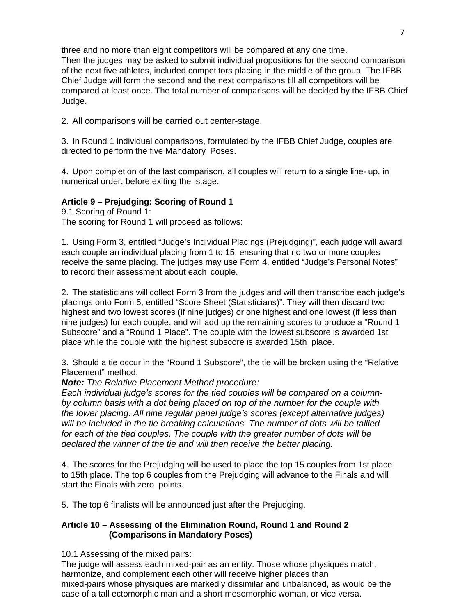three and no more than eight competitors will be compared at any one time. Then the judges may be asked to submit individual propositions for the second comparison of the next five athletes, included competitors placing in the middle of the group. The IFBB Chief Judge will form the second and the next comparisons till all competitors will be compared at least once. The total number of comparisons will be decided by the IFBB Chief Judge.

2. All comparisons will be carried out center-stage.

3. In Round 1 individual comparisons, formulated by the IFBB Chief Judge, couples are directed to perform the five Mandatory Poses.

4. Upon completion of the last comparison, all couples will return to a single line- up, in numerical order, before exiting the stage.

## **Article 9 – Prejudging: Scoring of Round 1**

9.1 Scoring of Round 1: The scoring for Round 1 will proceed as follows:

1. Using Form 3, entitled "Judge's Individual Placings (Prejudging)", each judge will award each couple an individual placing from 1 to 15, ensuring that no two or more couples receive the same placing. The judges may use Form 4, entitled "Judge's Personal Notes" to record their assessment about each couple.

2. The statisticians will collect Form 3 from the judges and will then transcribe each judge's placings onto Form 5, entitled "Score Sheet (Statisticians)". They will then discard two highest and two lowest scores (if nine judges) or one highest and one lowest (if less than nine judges) for each couple, and will add up the remaining scores to produce a "Round 1 Subscore" and a "Round 1 Place". The couple with the lowest subscore is awarded 1st place while the couple with the highest subscore is awarded 15th place.

3. Should a tie occur in the "Round 1 Subscore", the tie will be broken using the "Relative Placement" method.

*Note: The Relative Placement Method procedure:*

*Each individual judge's scores for the tied couples will be compared on a columnby column basis with a dot being placed on top of the number for the couple with the lower placing. All nine regular panel judge's scores (except alternative judges) will be included in the tie breaking calculations. The number of dots will be tallied for each of the tied couples. The couple with the greater number of dots will be declared the winner of the tie and will then receive the better placing.*

4. The scores for the Prejudging will be used to place the top 15 couples from 1st place to 15th place. The top 6 couples from the Prejudging will advance to the Finals and will start the Finals with zero points.

5. The top 6 finalists will be announced just after the Prejudging.

## **Article 10 – Assessing of the Elimination Round, Round 1 and Round 2 (Comparisons in Mandatory Poses)**

10.1 Assessing of the mixed pairs:

The judge will assess each mixed-pair as an entity. Those whose physiques match, harmonize, and complement each other will receive higher places than mixed-pairs whose physiques are markedly dissimilar and unbalanced, as would be the case of a tall ectomorphic man and a short mesomorphic woman, or vice versa.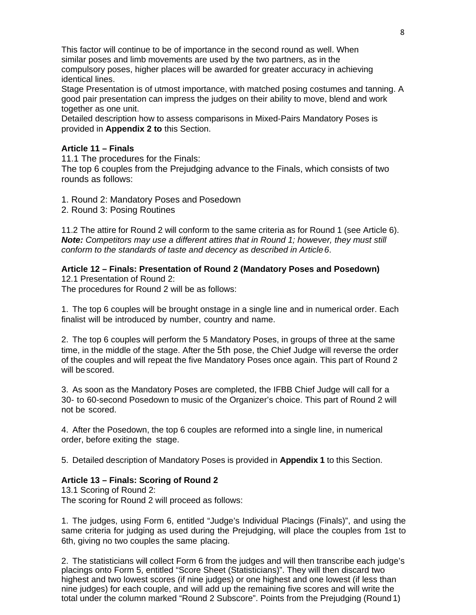This factor will continue to be of importance in the second round as well. When similar poses and limb movements are used by the two partners, as in the compulsory poses, higher places will be awarded for greater accuracy in achieving identical lines.

Stage Presentation is of utmost importance, with matched posing costumes and tanning. A good pair presentation can impress the judges on their ability to move, blend and work together as one unit.

Detailed description how to assess comparisons in Mixed-Pairs Mandatory Poses is provided in **Appendix 2 to** this Section.

#### **Article 11 – Finals**

11.1 The procedures for the Finals:

The top 6 couples from the Prejudging advance to the Finals, which consists of two rounds as follows:

1. Round 2: Mandatory Poses and Posedown

2. Round 3: Posing Routines

11.2 The attire for Round 2 will conform to the same criteria as for Round 1 (see Article 6). *Note: Competitors may use a different attires that in Round 1; however, they must still conform to the standards of taste and decency as described in Article6*.

#### **Article 12 – Finals: Presentation of Round 2 (Mandatory Poses and Posedown)** 12.1 Presentation of Round 2:

The procedures for Round 2 will be as follows:

1. The top 6 couples will be brought onstage in a single line and in numerical order. Each finalist will be introduced by number, country and name.

2. The top 6 couples will perform the 5 Mandatory Poses, in groups of three at the same time, in the middle of the stage. After the 5th pose, the Chief Judge will reverse the order of the couples and will repeat the five Mandatory Poses once again. This part of Round 2 will bescored.

3. As soon as the Mandatory Poses are completed, the IFBB Chief Judge will call for a 30- to 60-second Posedown to music of the Organizer's choice. This part of Round 2 will not be scored.

4. After the Posedown, the top 6 couples are reformed into a single line, in numerical order, before exiting the stage.

5. Detailed description of Mandatory Poses is provided in **Appendix 1** to this Section.

#### **Article 13 – Finals: Scoring of Round 2**

13.1 Scoring of Round 2: The scoring for Round 2 will proceed as follows:

1. The judges, using Form 6, entitled "Judge's Individual Placings (Finals)", and using the same criteria for judging as used during the Prejudging, will place the couples from 1st to 6th, giving no two couples the same placing.

2. The statisticians will collect Form 6 from the judges and will then transcribe each judge's placings onto Form 5, entitled "Score Sheet (Statisticians)". They will then discard two highest and two lowest scores (if nine judges) or one highest and one lowest (if less than nine judges) for each couple, and will add up the remaining five scores and will write the total under the column marked "Round 2 Subscore". Points from the Prejudging (Round 1)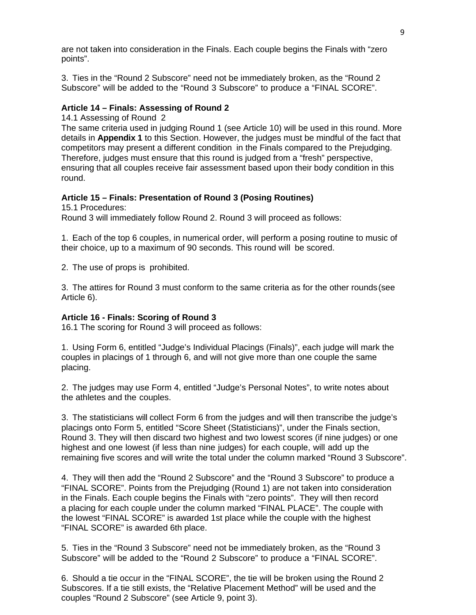are not taken into consideration in the Finals. Each couple begins the Finals with "zero points".

3. Ties in the "Round 2 Subscore" need not be immediately broken, as the "Round 2 Subscore" will be added to the "Round 3 Subscore" to produce a "FINAL SCORE".

#### **Article 14 – Finals: Assessing of Round 2**

14.1 Assessing of Round 2

The same criteria used in judging Round 1 (see Article 10) will be used in this round. More details in **Appendix 1** to this Section. However, the judges must be mindful of the fact that competitors may present a different condition in the Finals compared to the Prejudging. Therefore, judges must ensure that this round is judged from a "fresh" perspective, ensuring that all couples receive fair assessment based upon their body condition in this round.

#### **Article 15 – Finals: Presentation of Round 3 (Posing Routines)**

15.1 Procedures:

Round 3 will immediately follow Round 2. Round 3 will proceed as follows:

1. Each of the top 6 couples, in numerical order, will perform a posing routine to music of their choice, up to a maximum of 90 seconds. This round will be scored.

2. The use of props is prohibited.

3. The attires for Round 3 must conform to the same criteria as for the other rounds(see Article 6).

#### **Article 16 - Finals: Scoring of Round 3**

16.1 The scoring for Round 3 will proceed as follows:

1. Using Form 6, entitled "Judge's Individual Placings (Finals)", each judge will mark the couples in placings of 1 through 6, and will not give more than one couple the same placing.

2. The judges may use Form 4, entitled "Judge's Personal Notes", to write notes about the athletes and the couples.

3. The statisticians will collect Form 6 from the judges and will then transcribe the judge's placings onto Form 5, entitled "Score Sheet (Statisticians)", under the Finals section, Round 3. They will then discard two highest and two lowest scores (if nine judges) or one highest and one lowest (if less than nine judges) for each couple, will add up the remaining five scores and will write the total under the column marked "Round 3 Subscore".

4. They will then add the "Round 2 Subscore" and the "Round 3 Subscore" to produce a "FINAL SCORE". Points from the Prejudging (Round 1) are not taken into consideration in the Finals. Each couple begins the Finals with "zero points". They will then record a placing for each couple under the column marked "FINAL PLACE". The couple with the lowest "FINAL SCORE" is awarded 1st place while the couple with the highest "FINAL SCORE" is awarded 6th place.

5. Ties in the "Round 3 Subscore" need not be immediately broken, as the "Round 3 Subscore" will be added to the "Round 2 Subscore" to produce a "FINAL SCORE".

6. Should a tie occur in the "FINAL SCORE", the tie will be broken using the Round 2 Subscores. If a tie still exists, the "Relative Placement Method" will be used and the couples "Round 2 Subscore" (see Article 9, point 3).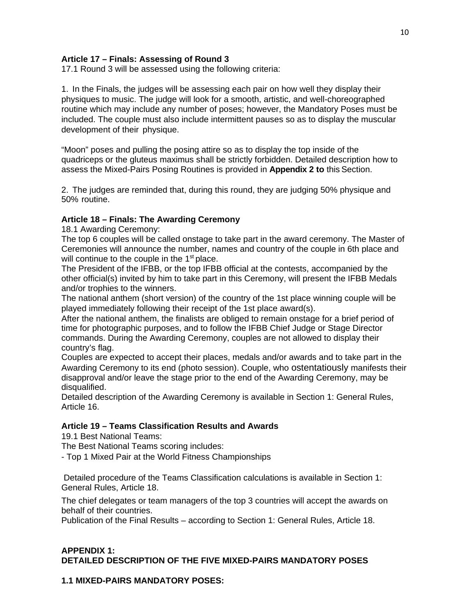## **Article 17 – Finals: Assessing of Round 3**

17.1 Round 3 will be assessed using the following criteria:

1. In the Finals, the judges will be assessing each pair on how well they display their physiques to music. The judge will look for a smooth, artistic, and well-choreographed routine which may include any number of poses; however, the Mandatory Poses must be included. The couple must also include intermittent pauses so as to display the muscular development of their physique.

"Moon" poses and pulling the posing attire so as to display the top inside of the quadriceps or the gluteus maximus shall be strictly forbidden. Detailed description how to assess the Mixed-Pairs Posing Routines is provided in **Appendix 2 to** this Section.

2. The judges are reminded that, during this round, they are judging 50% physique and 50% routine.

#### **Article 18 – Finals: The Awarding Ceremony**

18.1 Awarding Ceremony:

The top 6 couples will be called onstage to take part in the award ceremony. The Master of Ceremonies will announce the number, names and country of the couple in 6th place and will continue to the couple in the 1<sup>st</sup> place.

The President of the IFBB, or the top IFBB official at the contests, accompanied by the other official(s) invited by him to take part in this Ceremony, will present the IFBB Medals and/or trophies to the winners.

The national anthem (short version) of the country of the 1st place winning couple will be played immediately following their receipt of the 1st place award(s).

After the national anthem, the finalists are obliged to remain onstage for a brief period of time for photographic purposes, and to follow the IFBB Chief Judge or Stage Director commands. During the Awarding Ceremony, couples are not allowed to display their country's flag.

Couples are expected to accept their places, medals and/or awards and to take part in the Awarding Ceremony to its end (photo session). Couple, who ostentatiously manifests their disapproval and/or leave the stage prior to the end of the Awarding Ceremony, may be disqualified.

Detailed description of the Awarding Ceremony is available in Section 1: General Rules, Article 16.

#### **Article 19 – Teams Classification Results and Awards**

19.1 Best National Teams:

The Best National Teams scoring includes:

- Top 1 Mixed Pair at the World Fitness Championships

Detailed procedure of the Teams Classification calculations is available in Section 1: General Rules, Article 18.

The chief delegates or team managers of the top 3 countries will accept the awards on behalf of their countries.

Publication of the Final Results – according to Section 1: General Rules, Article 18.

## **APPENDIX 1: DETAILED DESCRIPTION OF THE FIVE MIXED-PAIRS MANDATORY POSES**

#### **1.1 MIXED-PAIRS MANDATORY POSES:**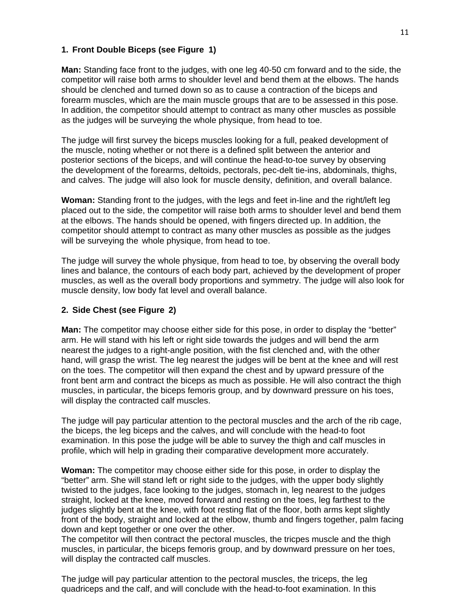#### **1. Front Double Biceps (see Figure 1)**

**Man:** Standing face front to the judges, with one leg 40-50 cm forward and to the side, the competitor will raise both arms to shoulder level and bend them at the elbows. The hands should be clenched and turned down so as to cause a contraction of the biceps and forearm muscles, which are the main muscle groups that are to be assessed in this pose. In addition, the competitor should attempt to contract as many other muscles as possible as the judges will be surveying the whole physique, from head to toe.

The judge will first survey the biceps muscles looking for a full, peaked development of the muscle, noting whether or not there is a defined split between the anterior and posterior sections of the biceps, and will continue the head-to-toe survey by observing the development of the forearms, deltoids, pectorals, pec-delt tie-ins, abdominals, thighs, and calves. The judge will also look for muscle density, definition, and overall balance.

**Woman:** Standing front to the judges, with the legs and feet in-line and the right/left leg placed out to the side, the competitor will raise both arms to shoulder level and bend them at the elbows. The hands should be opened, with fingers directed up. In addition, the competitor should attempt to contract as many other muscles as possible as the judges will be surveying the whole physique, from head to toe.

The judge will survey the whole physique, from head to toe, by observing the overall body lines and balance, the contours of each body part, achieved by the development of proper muscles, as well as the overall body proportions and symmetry. The judge will also look for muscle density, low body fat level and overall balance.

#### **2. Side Chest (see Figure 2)**

**Man:** The competitor may choose either side for this pose, in order to display the "better" arm. He will stand with his left or right side towards the judges and will bend the arm nearest the judges to a right-angle position, with the fist clenched and, with the other hand, will grasp the wrist. The leg nearest the judges will be bent at the knee and will rest on the toes. The competitor will then expand the chest and by upward pressure of the front bent arm and contract the biceps as much as possible. He will also contract the thigh muscles, in particular, the biceps femoris group, and by downward pressure on his toes, will display the contracted calf muscles.

The judge will pay particular attention to the pectoral muscles and the arch of the rib cage, the biceps, the leg biceps and the calves, and will conclude with the head-to foot examination. In this pose the judge will be able to survey the thigh and calf muscles in profile, which will help in grading their comparative development more accurately.

**Woman:** The competitor may choose either side for this pose, in order to display the "better" arm. She will stand left or right side to the judges, with the upper body slightly twisted to the judges, face looking to the judges, stomach in, leg nearest to the judges straight, locked at the knee, moved forward and resting on the toes, leg farthest to the judges slightly bent at the knee, with foot resting flat of the floor, both arms kept slightly front of the body, straight and locked at the elbow, thumb and fingers together, palm facing down and kept together or one over the other.

The competitor will then contract the pectoral muscles, the tricpes muscle and the thigh muscles, in particular, the biceps femoris group, and by downward pressure on her toes, will display the contracted calf muscles.

The judge will pay particular attention to the pectoral muscles, the triceps, the leg quadriceps and the calf, and will conclude with the head-to-foot examination. In this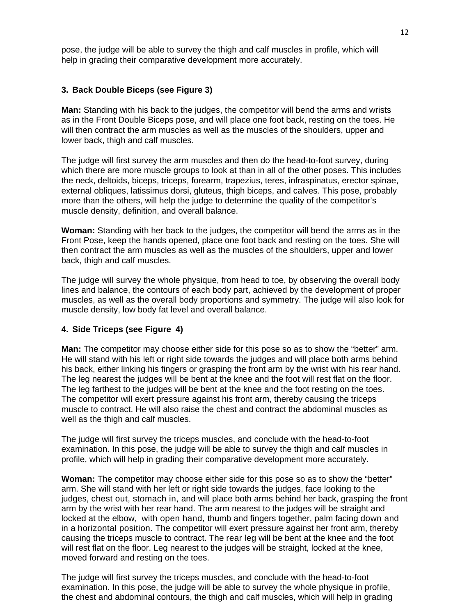pose, the judge will be able to survey the thigh and calf muscles in profile, which will help in grading their comparative development more accurately.

#### **3. Back Double Biceps (see Figure 3)**

**Man:** Standing with his back to the judges, the competitor will bend the arms and wrists as in the Front Double Biceps pose, and will place one foot back, resting on the toes. He will then contract the arm muscles as well as the muscles of the shoulders, upper and lower back, thigh and calf muscles.

The judge will first survey the arm muscles and then do the head-to-foot survey, during which there are more muscle groups to look at than in all of the other poses. This includes the neck, deltoids, biceps, triceps, forearm, trapezius, teres, infraspinatus, erector spinae, external obliques, latissimus dorsi, gluteus, thigh biceps, and calves. This pose, probably more than the others, will help the judge to determine the quality of the competitor's muscle density, definition, and overall balance.

**Woman:** Standing with her back to the judges, the competitor will bend the arms as in the Front Pose, keep the hands opened, place one foot back and resting on the toes. She will then contract the arm muscles as well as the muscles of the shoulders, upper and lower back, thigh and calf muscles.

The judge will survey the whole physique, from head to toe, by observing the overall body lines and balance, the contours of each body part, achieved by the development of proper muscles, as well as the overall body proportions and symmetry. The judge will also look for muscle density, low body fat level and overall balance.

#### **4. Side Triceps (see Figure 4)**

**Man:** The competitor may choose either side for this pose so as to show the "better" arm. He will stand with his left or right side towards the judges and will place both arms behind his back, either linking his fingers or grasping the front arm by the wrist with his rear hand. The leg nearest the judges will be bent at the knee and the foot will rest flat on the floor. The leg farthest to the judges will be bent at the knee and the foot resting on the toes. The competitor will exert pressure against his front arm, thereby causing the triceps muscle to contract. He will also raise the chest and contract the abdominal muscles as well as the thigh and calf muscles.

The judge will first survey the triceps muscles, and conclude with the head-to-foot examination. In this pose, the judge will be able to survey the thigh and calf muscles in profile, which will help in grading their comparative development more accurately.

**Woman:** The competitor may choose either side for this pose so as to show the "better" arm. She will stand with her left or right side towards the judges, face looking to the judges, chest out, stomach in, and will place both arms behind her back, grasping the front arm by the wrist with her rear hand. The arm nearest to the judges will be straight and locked at the elbow, with open hand, thumb and fingers together, palm facing down and in a horizontal position. The competitor will exert pressure against her front arm, thereby causing the triceps muscle to contract. The rear leg will be bent at the knee and the foot will rest flat on the floor. Leg nearest to the judges will be straight, locked at the knee, moved forward and resting on the toes.

The judge will first survey the triceps muscles, and conclude with the head-to-foot examination. In this pose, the judge will be able to survey the whole physique in profile, the chest and abdominal contours, the thigh and calf muscles, which will help in grading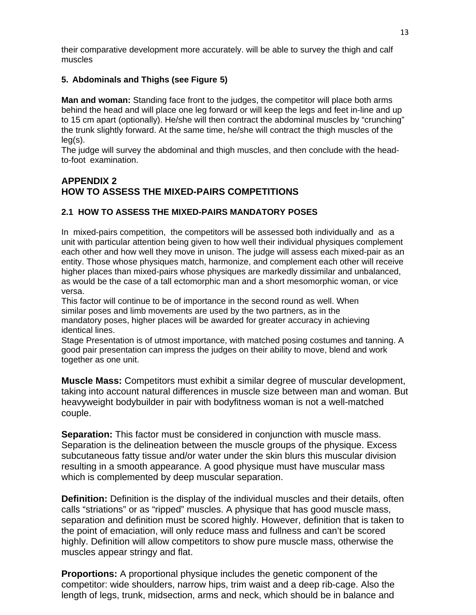their comparative development more accurately. will be able to survey the thigh and calf muscles

## **5. Abdominals and Thighs (see Figure 5)**

**Man and woman:** Standing face front to the judges, the competitor will place both arms behind the head and will place one leg forward or will keep the legs and feet in-line and up to 15 cm apart (optionally). He/she will then contract the abdominal muscles by "crunching" the trunk slightly forward. At the same time, he/she will contract the thigh muscles of the leg(s).

The judge will survey the abdominal and thigh muscles, and then conclude with the headto-foot examination.

## **APPENDIX 2 HOW TO ASSESS THE MIXED-PAIRS COMPETITIONS**

## **2.1 HOW TO ASSESS THE MIXED-PAIRS MANDATORY POSES**

In mixed-pairs competition, the competitors will be assessed both individually and as a unit with particular attention being given to how well their individual physiques complement each other and how well they move in unison. The judge will assess each mixed-pair as an entity. Those whose physiques match, harmonize, and complement each other will receive higher places than mixed-pairs whose physiques are markedly dissimilar and unbalanced, as would be the case of a tall ectomorphic man and a short mesomorphic woman, or vice versa.

This factor will continue to be of importance in the second round as well. When similar poses and limb movements are used by the two partners, as in the mandatory poses, higher places will be awarded for greater accuracy in achieving identical lines.

Stage Presentation is of utmost importance, with matched posing costumes and tanning. A good pair presentation can impress the judges on their ability to move, blend and work together as one unit.

**Muscle Mass:** Competitors must exhibit a similar degree of muscular development, taking into account natural differences in muscle size between man and woman. But heavyweight bodybuilder in pair with bodyfitness woman is not a well-matched couple.

**Separation:** This factor must be considered in conjunction with muscle mass. Separation is the delineation between the muscle groups of the physique. Excess subcutaneous fatty tissue and/or water under the skin blurs this muscular division resulting in a smooth appearance. A good physique must have muscular mass which is complemented by deep muscular separation.

**Definition:** Definition is the display of the individual muscles and their details, often calls "striations" or as "ripped" muscles. A physique that has good muscle mass, separation and definition must be scored highly. However, definition that is taken to the point of emaciation, will only reduce mass and fullness and can't be scored highly. Definition will allow competitors to show pure muscle mass, otherwise the muscles appear stringy and flat.

**Proportions:** A proportional physique includes the genetic component of the competitor: wide shoulders, narrow hips, trim waist and a deep rib-cage. Also the length of legs, trunk, midsection, arms and neck, which should be in balance and